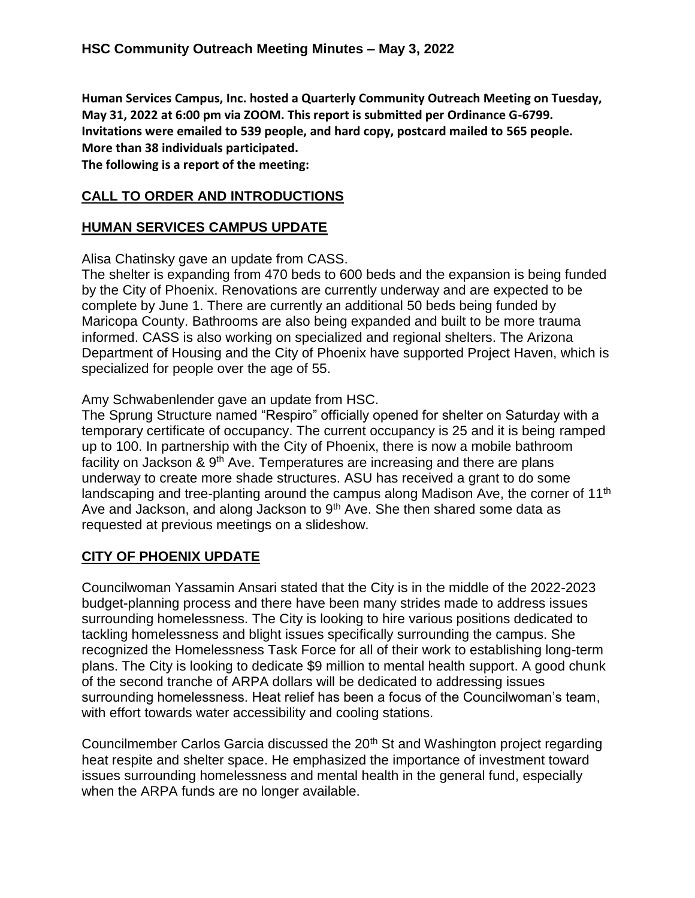**Human Services Campus, Inc. hosted a Quarterly Community Outreach Meeting on Tuesday, May 31, 2022 at 6:00 pm via ZOOM. This report is submitted per Ordinance G-6799. Invitations were emailed to 539 people, and hard copy, postcard mailed to 565 people. More than 38 individuals participated.**

**The following is a report of the meeting:**

# **CALL TO ORDER AND INTRODUCTIONS**

# **HUMAN SERVICES CAMPUS UPDATE**

Alisa Chatinsky gave an update from CASS.

The shelter is expanding from 470 beds to 600 beds and the expansion is being funded by the City of Phoenix. Renovations are currently underway and are expected to be complete by June 1. There are currently an additional 50 beds being funded by Maricopa County. Bathrooms are also being expanded and built to be more trauma informed. CASS is also working on specialized and regional shelters. The Arizona Department of Housing and the City of Phoenix have supported Project Haven, which is specialized for people over the age of 55.

Amy Schwabenlender gave an update from HSC.

The Sprung Structure named "Respiro" officially opened for shelter on Saturday with a temporary certificate of occupancy. The current occupancy is 25 and it is being ramped up to 100. In partnership with the City of Phoenix, there is now a mobile bathroom facility on Jackson &  $9<sup>th</sup>$  Ave. Temperatures are increasing and there are plans underway to create more shade structures. ASU has received a grant to do some landscaping and tree-planting around the campus along Madison Ave, the corner of 11<sup>th</sup> Ave and Jackson, and along Jackson to  $9<sup>th</sup>$  Ave. She then shared some data as requested at previous meetings on a slideshow.

# **CITY OF PHOENIX UPDATE**

Councilwoman Yassamin Ansari stated that the City is in the middle of the 2022-2023 budget-planning process and there have been many strides made to address issues surrounding homelessness. The City is looking to hire various positions dedicated to tackling homelessness and blight issues specifically surrounding the campus. She recognized the Homelessness Task Force for all of their work to establishing long-term plans. The City is looking to dedicate \$9 million to mental health support. A good chunk of the second tranche of ARPA dollars will be dedicated to addressing issues surrounding homelessness. Heat relief has been a focus of the Councilwoman's team, with effort towards water accessibility and cooling stations.

Councilmember Carlos Garcia discussed the 20<sup>th</sup> St and Washington project regarding heat respite and shelter space. He emphasized the importance of investment toward issues surrounding homelessness and mental health in the general fund, especially when the ARPA funds are no longer available.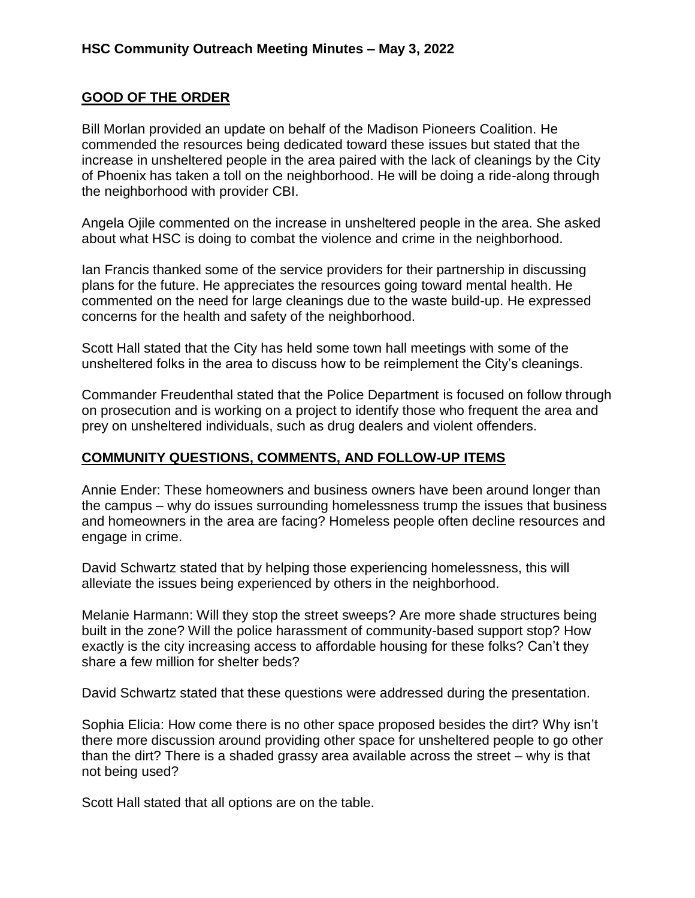# **GOOD OF THE ORDER**

Bill Morlan provided an update on behalf of the Madison Pioneers Coalition. He commended the resources being dedicated toward these issues but stated that the increase in unsheltered people in the area paired with the lack of cleanings by the City of Phoenix has taken a toll on the neighborhood. He will be doing a ride-along through the neighborhood with provider CBI.

Angela Ojile commented on the increase in unsheltered people in the area. She asked about what HSC is doing to combat the violence and crime in the neighborhood.

Ian Francis thanked some of the service providers for their partnership in discussing plans for the future. He appreciates the resources going toward mental health. He commented on the need for large cleanings due to the waste build-up. He expressed concerns for the health and safety of the neighborhood.

Scott Hall stated that the City has held some town hall meetings with some of the unsheltered folks in the area to discuss how to be reimplement the City's cleanings.

Commander Freudenthal stated that the Police Department is focused on follow through on prosecution and is working on a project to identify those who frequent the area and prey on unsheltered individuals, such as drug dealers and violent offenders.

# **COMMUNITY QUESTIONS, COMMENTS, AND FOLLOW-UP ITEMS**

Annie Ender: These homeowners and business owners have been around longer than the campus – why do issues surrounding homelessness trump the issues that business and homeowners in the area are facing? Homeless people often decline resources and engage in crime.

David Schwartz stated that by helping those experiencing homelessness, this will alleviate the issues being experienced by others in the neighborhood.

Melanie Harmann: Will they stop the street sweeps? Are more shade structures being built in the zone? Will the police harassment of community-based support stop? How exactly is the city increasing access to affordable housing for these folks? Can't they share a few million for shelter beds?

David Schwartz stated that these questions were addressed during the presentation.

Sophia Elicia: How come there is no other space proposed besides the dirt? Why isn't there more discussion around providing other space for unsheltered people to go other than the dirt? There is a shaded grassy area available across the street – why is that not being used?

Scott Hall stated that all options are on the table.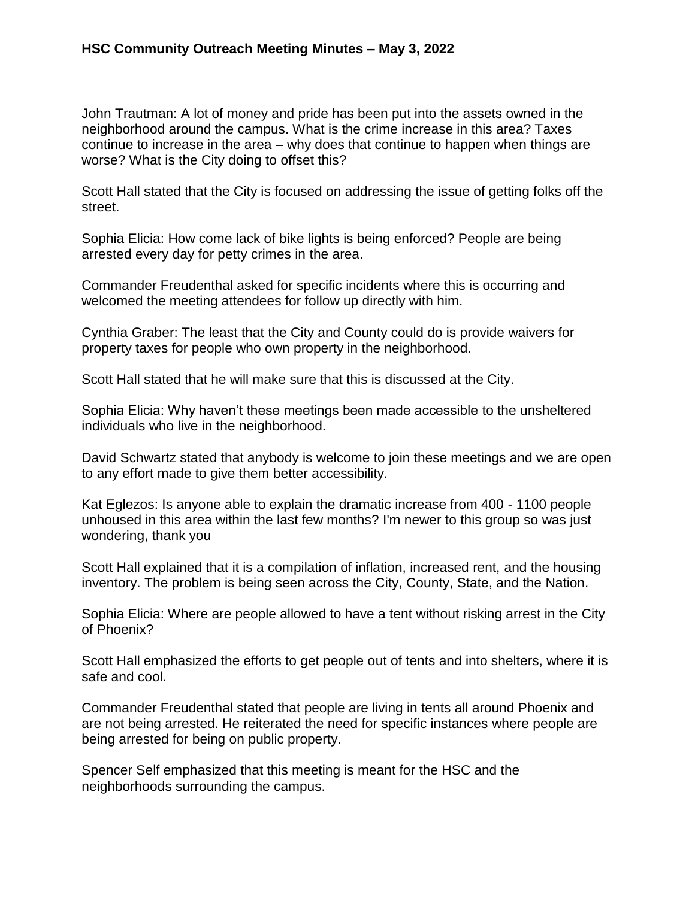John Trautman: A lot of money and pride has been put into the assets owned in the neighborhood around the campus. What is the crime increase in this area? Taxes continue to increase in the area – why does that continue to happen when things are worse? What is the City doing to offset this?

Scott Hall stated that the City is focused on addressing the issue of getting folks off the street.

Sophia Elicia: How come lack of bike lights is being enforced? People are being arrested every day for petty crimes in the area.

Commander Freudenthal asked for specific incidents where this is occurring and welcomed the meeting attendees for follow up directly with him.

Cynthia Graber: The least that the City and County could do is provide waivers for property taxes for people who own property in the neighborhood.

Scott Hall stated that he will make sure that this is discussed at the City.

Sophia Elicia: Why haven't these meetings been made accessible to the unsheltered individuals who live in the neighborhood.

David Schwartz stated that anybody is welcome to join these meetings and we are open to any effort made to give them better accessibility.

Kat Eglezos: Is anyone able to explain the dramatic increase from 400 - 1100 people unhoused in this area within the last few months? I'm newer to this group so was just wondering, thank you

Scott Hall explained that it is a compilation of inflation, increased rent, and the housing inventory. The problem is being seen across the City, County, State, and the Nation.

Sophia Elicia: Where are people allowed to have a tent without risking arrest in the City of Phoenix?

Scott Hall emphasized the efforts to get people out of tents and into shelters, where it is safe and cool.

Commander Freudenthal stated that people are living in tents all around Phoenix and are not being arrested. He reiterated the need for specific instances where people are being arrested for being on public property.

Spencer Self emphasized that this meeting is meant for the HSC and the neighborhoods surrounding the campus.